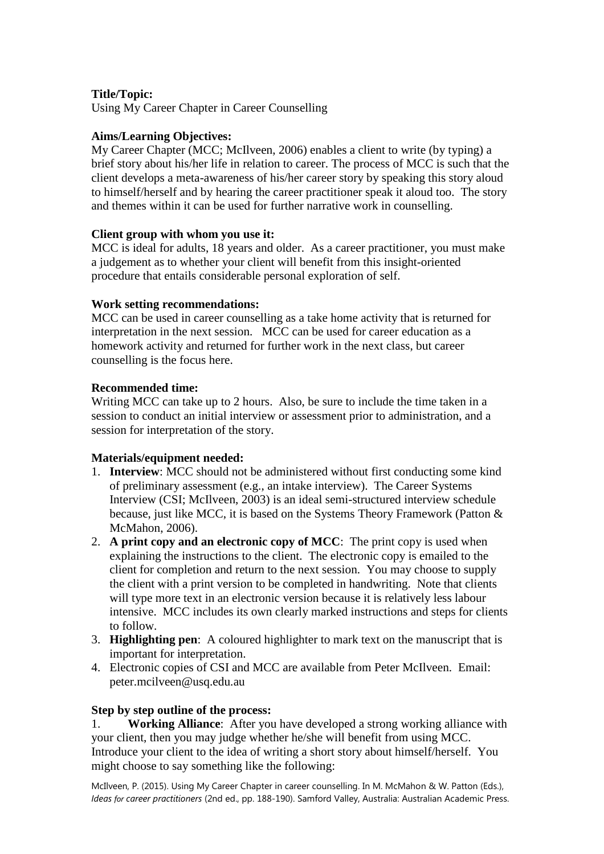# **Title/Topic:**

Using My Career Chapter in Career Counselling

# **Aims/Learning Objectives:**

My Career Chapter [\(MCC; McIlveen, 2006\)](#page-3-0) enables a client to write (by typing) a brief story about his/her life in relation to career. The process of MCC is such that the client develops a meta-awareness of his/her career story by speaking this story aloud to himself/herself and by hearing the career practitioner speak it aloud too. The story and themes within it can be used for further narrative work in counselling.

## **Client group with whom you use it:**

MCC is ideal for adults, 18 years and older. As a career practitioner, you must make a judgement as to whether your client will benefit from this insight-oriented procedure that entails considerable personal exploration of self.

## **Work setting recommendations:**

MCC can be used in career counselling as a take home activity that is returned for interpretation in the next session. MCC can be used for career education as a homework activity and returned for further work in the next class, but career counselling is the focus here.

## **Recommended time:**

Writing MCC can take up to 2 hours. Also, be sure to include the time taken in a session to conduct an initial interview or assessment prior to administration, and a session for interpretation of the story.

# **Materials/equipment needed:**

- 1. **Interview**: MCC should not be administered without first conducting some kind of preliminary assessment (e.g., an intake interview). The Career Systems Interview [\(CSI; McIlveen, 2003\)](#page-2-0) is an ideal semi-structured interview schedule because, just like MCC, it is based on the Systems Theory Framework [\(Patton &](#page-3-1)  [McMahon, 2006\)](#page-3-1).
- 2. **A print copy and an electronic copy of MCC**: The print copy is used when explaining the instructions to the client. The electronic copy is emailed to the client for completion and return to the next session. You may choose to supply the client with a print version to be completed in handwriting. Note that clients will type more text in an electronic version because it is relatively less labour intensive. MCC includes its own clearly marked instructions and steps for clients to follow.
- 3. **Highlighting pen**: A coloured highlighter to mark text on the manuscript that is important for interpretation.
- 4. Electronic copies of CSI and MCC are available from Peter McIlveen. Email: peter.mcilveen@usq.edu.au

### **Step by step outline of the process:**

1. **Working Alliance**: After you have developed a strong working alliance with your client, then you may judge whether he/she will benefit from using MCC. Introduce your client to the idea of writing a short story about himself/herself. You might choose to say something like the following:

McIlveen, P. (2015). Using My Career Chapter in career counselling. In M. McMahon & W. Patton (Eds.), *Ideas for career practitioners* (2nd ed., pp. 188-190). Samford Valley, Australia: Australian Academic Press.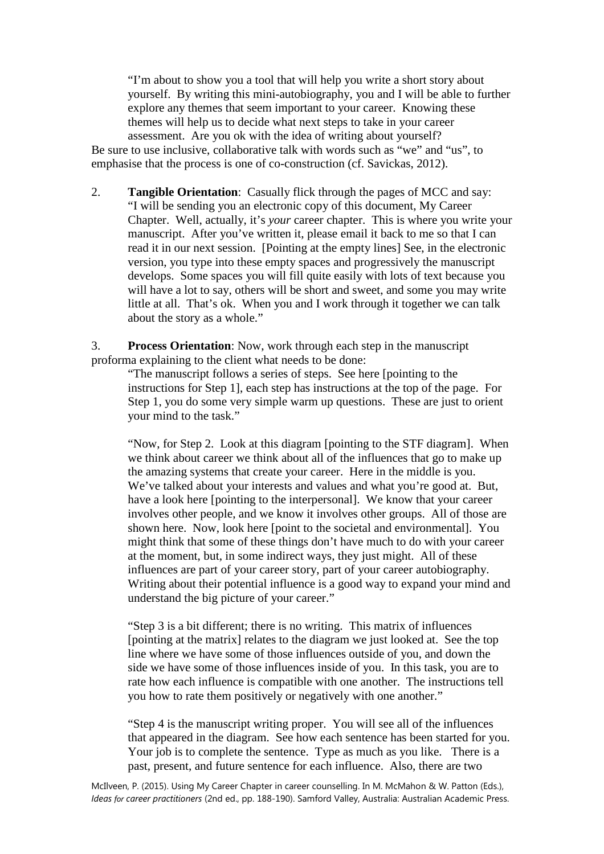"I'm about to show you a tool that will help you write a short story about yourself. By writing this mini-autobiography, you and I will be able to further explore any themes that seem important to your career. Knowing these themes will help us to decide what next steps to take in your career assessment. Are you ok with the idea of writing about yourself?

Be sure to use inclusive, collaborative talk with words such as "we" and "us", to emphasise that the process is one of co-construction [\(cf. Savickas, 2012\)](#page-3-2).

2. **Tangible Orientation**: Casually flick through the pages of MCC and say: "I will be sending you an electronic copy of this document, My Career Chapter. Well, actually, it's *your* career chapter. This is where you write your manuscript. After you've written it, please email it back to me so that I can read it in our next session. [Pointing at the empty lines] See, in the electronic version, you type into these empty spaces and progressively the manuscript develops. Some spaces you will fill quite easily with lots of text because you will have a lot to say, others will be short and sweet, and some you may write little at all. That's ok. When you and I work through it together we can talk about the story as a whole."

3. **Process Orientation**: Now, work through each step in the manuscript proforma explaining to the client what needs to be done:

"The manuscript follows a series of steps. See here [pointing to the instructions for Step 1], each step has instructions at the top of the page. For Step 1, you do some very simple warm up questions. These are just to orient your mind to the task."

"Now, for Step 2. Look at this diagram [pointing to the STF diagram]. When we think about career we think about all of the influences that go to make up the amazing systems that create your career. Here in the middle is you. We've talked about your interests and values and what you're good at. But, have a look here [pointing to the interpersonal]. We know that your career involves other people, and we know it involves other groups. All of those are shown here. Now, look here [point to the societal and environmental]. You might think that some of these things don't have much to do with your career at the moment, but, in some indirect ways, they just might. All of these influences are part of your career story, part of your career autobiography. Writing about their potential influence is a good way to expand your mind and understand the big picture of your career."

"Step 3 is a bit different; there is no writing. This matrix of influences [pointing at the matrix] relates to the diagram we just looked at. See the top line where we have some of those influences outside of you, and down the side we have some of those influences inside of you. In this task, you are to rate how each influence is compatible with one another. The instructions tell you how to rate them positively or negatively with one another."

"Step 4 is the manuscript writing proper. You will see all of the influences that appeared in the diagram. See how each sentence has been started for you. Your job is to complete the sentence. Type as much as you like. There is a past, present, and future sentence for each influence. Also, there are two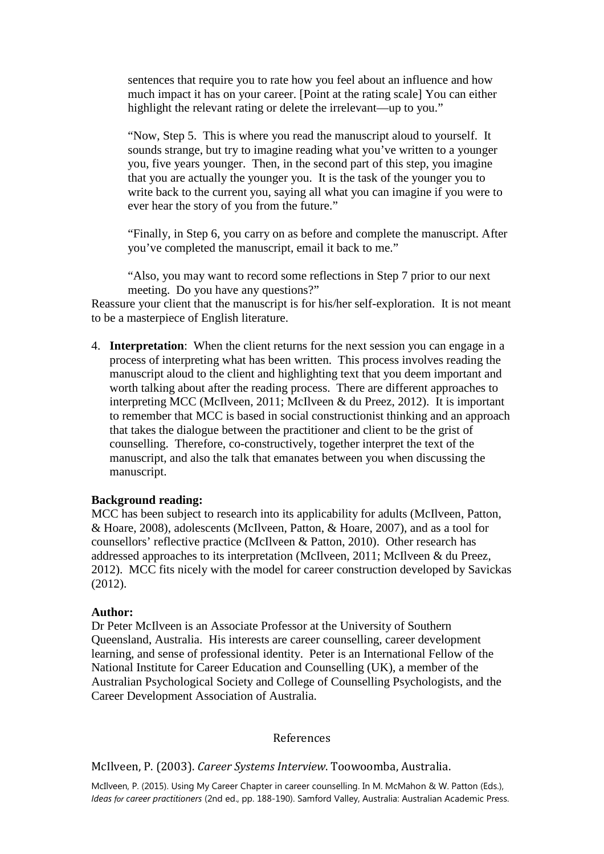sentences that require you to rate how you feel about an influence and how much impact it has on your career. [Point at the rating scale] You can either highlight the relevant rating or delete the irrelevant—up to you."

"Now, Step 5. This is where you read the manuscript aloud to yourself. It sounds strange, but try to imagine reading what you've written to a younger you, five years younger. Then, in the second part of this step, you imagine that you are actually the younger you. It is the task of the younger you to write back to the current you, saying all what you can imagine if you were to ever hear the story of you from the future."

"Finally, in Step 6, you carry on as before and complete the manuscript. After you've completed the manuscript, email it back to me."

"Also, you may want to record some reflections in Step 7 prior to our next meeting. Do you have any questions?"

Reassure your client that the manuscript is for his/her self-exploration. It is not meant to be a masterpiece of English literature.

4. **Interpretation**: When the client returns for the next session you can engage in a process of interpreting what has been written. This process involves reading the manuscript aloud to the client and highlighting text that you deem important and worth talking about after the reading process. There are different approaches to interpreting MCC [\(McIlveen, 2011;](#page-3-3) [McIlveen & du Preez, 2012\)](#page-3-4). It is important to remember that MCC is based in social constructionist thinking and an approach that takes the dialogue between the practitioner and client to be the grist of counselling. Therefore, co-constructively, together interpret the text of the manuscript, and also the talk that emanates between you when discussing the manuscript.

### **Background reading:**

MCC has been subject to research into its applicability for adults [\(McIlveen, Patton,](#page-3-5)  [& Hoare, 2008\)](#page-3-5), adolescents [\(McIlveen, Patton, & Hoare, 2007\)](#page-3-6), and as a tool for counsellors' reflective practice [\(McIlveen & Patton, 2010\)](#page-3-7). Other research has addressed approaches to its interpretation [\(McIlveen, 2011;](#page-3-3) McIlveen [& du Preez,](#page-3-4)  [2012\)](#page-3-4). MCC fits nicely with the model for career construction developed by Savickas [\(2012\)](#page-3-2).

#### **Author:**

Dr Peter McIlveen is an Associate Professor at the University of Southern Queensland, Australia. His interests are career counselling, career development learning, and sense of professional identity. Peter is an International Fellow of the National Institute for Career Education and Counselling (UK), a member of the Australian Psychological Society and College of Counselling Psychologists, and the Career Development Association of Australia.

#### References

<span id="page-2-0"></span>McIlveen, P. (2003). *Career Systems Interview*. Toowoomba, Australia.

McIlveen, P. (2015). Using My Career Chapter in career counselling. In M. McMahon & W. Patton (Eds.), *Ideas for career practitioners* (2nd ed., pp. 188-190). Samford Valley, Australia: Australian Academic Press.